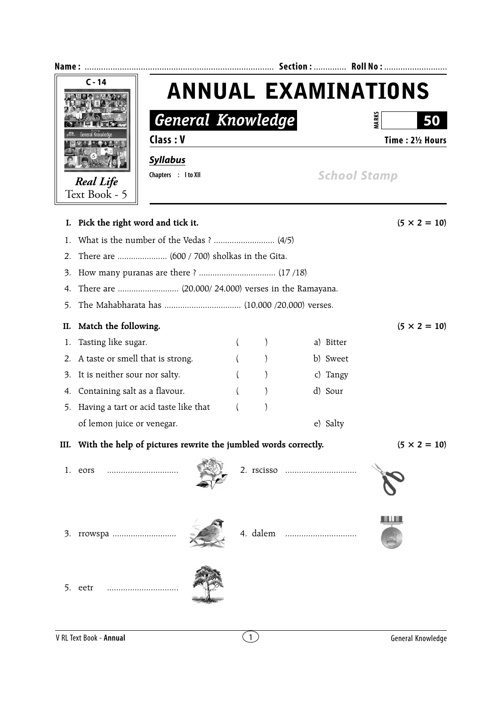